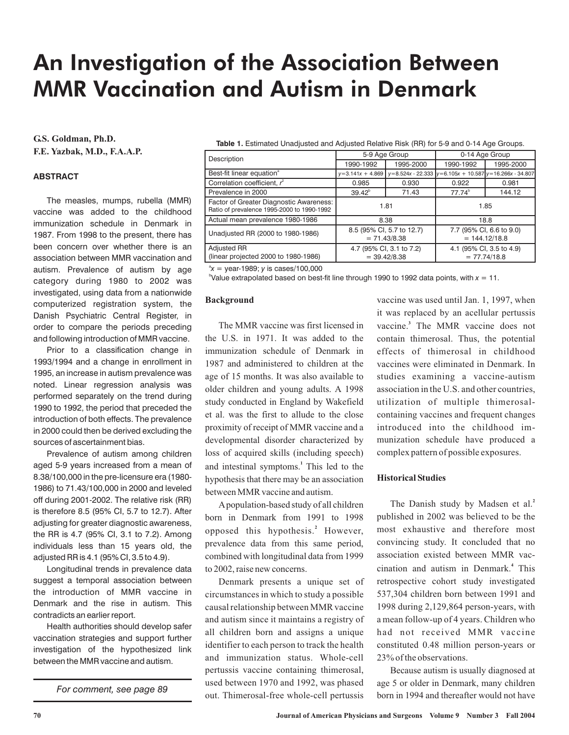# An Investigation of the Association Between MMR Vaccination and Autism in Denmark

**G.S. Goldman, Ph.D. F.E. Yazbak, M.D., F.A.A.P.**

### **ABSTRACT**

The measles, mumps, rubella (MMR) vaccine was added to the childhood immunization schedule in Denmark in 1987. From 1998 to the present, there has been concern over whether there is an association between MMR vaccination and autism. Prevalence of autism by age category during 1980 to 2002 was investigated, using data from a nationwide computerized registration system, the Danish Psychiatric Central Register, in order to compare the periods preceding and following introduction of MMR vaccine.

Prior to a classification change in 1993/1994 and a change in enrollment in 1995, an increase in autism prevalence was noted. Linear regression analysis was performed separately on the trend during 1990 to 1992, the period that preceded the introduction of both effects. The prevalence in 2000 could then be derived excluding the sources of ascertainment bias.

Prevalence of autism among children aged 5-9 years increased from a mean of 8.38/100,000 in the pre-licensure era (1980- 1986) to 71.43/100,000 in 2000 and leveled off during 2001-2002. The relative risk (RR) is therefore 8.5 (95% CI, 5.7 to 12.7). After adjusting for greater diagnostic awareness, the RR is 4.7 (95% CI, 3.1 to 7.2). Among individuals less than 15 years old, the adjusted RR is 4.1 (95% CI, 3.5 to 4.9).

Longitudinal trends in prevalence data suggest a temporal association between the introduction of MMR vaccine in Denmark and the rise in autism. This contradicts an earlier report.

Health authorities should develop safer vaccination strategies and support further investigation of the hypothesized link between the MMR vaccine and autism.

*For comment, see page 89*

**Table 1.** Estimated Unadjusted and Adjusted Relative Risk (RR) for 5-9 and 0-14 Age Groups.

| Description                                                                           | 5-9 Age Group                               |           | 0-14 Age Group                              |                                                              |
|---------------------------------------------------------------------------------------|---------------------------------------------|-----------|---------------------------------------------|--------------------------------------------------------------|
|                                                                                       | 1990-1992                                   | 1995-2000 | 1990-1992                                   | 1995-2000                                                    |
| Best-fit linear equation <sup>ª</sup>                                                 | $y=3.141x + 4.869$                          |           |                                             | $y=8.524x - 22.333$ $y=6.105x + 10.587$ $y=16.266x - 34.807$ |
| Correlation coefficient, $r^2$                                                        | 0.985                                       | 0.930     | 0.922                                       | 0.981                                                        |
| Prevalence in 2000                                                                    | $39.42^b$                                   | 71.43     | $77.74^b$                                   | 144.12                                                       |
| Factor of Greater Diagnostic Awareness:<br>Ratio of prevalence 1995-2000 to 1990-1992 | 1.81                                        |           | 1.85                                        |                                                              |
| Actual mean prevalence 1980-1986                                                      | 8.38                                        |           | 18.8                                        |                                                              |
| Unadjusted RR (2000 to 1980-1986)                                                     | 8.5 (95% CI, 5.7 to 12.7)<br>$= 71.43/8.38$ |           | 7.7 (95% CI, 6.6 to 9.0)<br>$= 144.12/18.8$ |                                                              |
| <b>Adjusted RR</b><br>(linear projected 2000 to 1980-1986)                            | 4.7 (95% CI, 3.1 to 7.2)<br>$= 39.42/8.38$  |           | 4.1 (95% CI, 3.5 to 4.9)<br>$= 77.74/18.8$  |                                                              |

 $x^2$  = year-1989; *y* is cases/100,000

 $\alpha$ Value extrapolated based on best-fit line through 1990 to 1992 data points, with  $x = 11$ .

#### **Background**

The MMR vaccine was first licensed in the U.S. in 1971. It was added to the immunization schedule of Denmark in 1987 and administered to children at the age of 15 months. It was also available to older children and young adults. A 1998 study conducted in England by Wakefield et al. was the first to allude to the close proximity of receipt of MMR vaccine and a developmental disorder characterized by loss of acquired skills (including speech) and intestinal symptoms.<sup>1</sup> This led to the hypothesis that there may be an association between MMR vaccine and autism.

Apopulation-based study of all children born in Denmark from 1991 to 1998 opposed this hypothesis.<sup>2</sup> However, prevalence data from this same period, combined with longitudinal data from 1999 to 2002, raise new concerns.

Denmark presents a unique set of circumstances in which to study a possible causal relationship betweenMMR vaccine and autism since it maintains a registry of all children born and assigns a unique identifier to each person to track the health and immunization status. Whole-cell pertussis vaccine containing thimerosal, used between 1970 and 1992, was phased out. Thimerosal-free whole-cell pertussis vaccine was used until Jan. 1, 1997, when it was replaced by an acellular pertussis vaccine.<sup>3</sup> The MMR vaccine does not contain thimerosal. Thus, the potential effects of thimerosal in childhood vaccines were eliminated in Denmark. In studies examining a vaccine-autism association in the U.S. and other countries, utilization of multiple thimerosalcontaining vaccines and frequent changes introduced into the childhood immunization schedule have produced a complex pattern of possible exposures.

#### **Historical Studies**

The Danish study by Madsen et al. **2** published in 2002 was believed to be the most exhaustive and therefore most convincing study. It concluded that no association existed between MMR vaccination and autism in Denmark.<sup>4</sup> This retrospective cohort study investigated 537,304 children born between 1991 and 1998 during 2,129,864 person-years, with a mean follow-up of 4 years. Children who had not received MMR vaccine constituted 0.48 million person-years or 23% of the observations.

Because autism is usually diagnosed at age 5 or older in Denmark, many children born in 1994 and thereafter would not have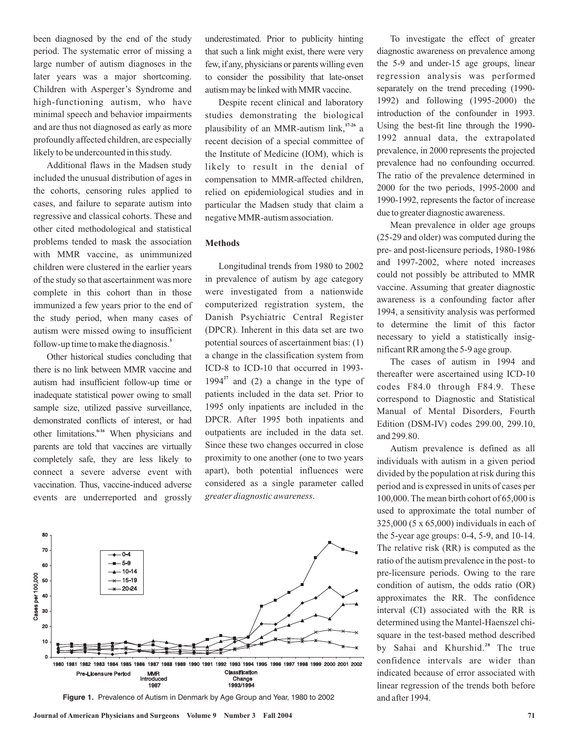been diagnosed by the end of the study period. The systematic error of missing a large number of autism diagnoses in the later years was a major shortcoming. Children with Asperger's Syndrome and high-functioning autism, who have minimal speech and behavior impairments and are thus not diagnosed as early as more profoundly affected children, are especially likely to be undercounted in this study.

Additional flaws in the Madsen study included the unusual distribution of ages in the cohorts, censoring rules applied to cases, and failure to separate autism into regressive and classical cohorts. These and other cited methodological and statistical problems tended to mask the association with MMR vaccine, as unimmunized children were clustered in the earlier years of the study so that ascertainment was more complete in this cohort than in those immunized a few years prior to the end of the study period, when many cases of autism were missed owing to insufficient follow-up time to make the diagnosis. **5**

Other historical studies concluding that there is no link between MMR vaccine and autism had insufficient follow-up time or inadequate statistical power owing to small sample size, utilized passive surveillance, demonstrated conflicts of interest, or had other limitations.<sup>6-16</sup> When physicians and parents are told that vaccines are virtually completely safe, they are less likely to connect a severe adverse event with vaccination. Thus, vaccine-induced adverse events are underreported and grossly underestimated. Prior to publicity hinting that such a link might exist, there were very few, if any, physicians or parents willing even to consider the possibility that late-onset autism may be linked with MMR vaccine.

Despite recent clinical and laboratory studies demonstrating the biological plausibility of an MMR-autism link,<sup>17-26</sup> a recent decision of a special committee of the Institute of Medicine (IOM), which is likely to result in the denial of compensation to MMR-affected children, relied on epidemiological studies and in particular the Madsen study that claim a negative MMR-autism association.

#### **Methods**

Longitudinal trends from 1980 to 2002 in prevalence of autism by age category were investigated from a nationwide computerized registration system, the Danish Psychiatric Central Register (DPCR). Inherent in this data set are two potential sources of ascertainment bias: (1) a change in the classification system from ICD-8 to ICD-10 that occurred in 1993-  $1994<sup>27</sup>$  and (2) a change in the type of patients included in the data set. Prior to 1995 only inpatients are included in the DPCR. After 1995 both inpatients and outpatients are included in the data set. Since these two changes occurred in close proximity to one another (one to two years apart), both potential influences were considered as a single parameter called . *greater diagnostic awareness*



**Figure 1.** Prevalence of Autism in Denmark by Age Group and Year, 1980 to 2002

To investigate the effect of greater diagnostic awareness on prevalence among the 5-9 and under-15 age groups, linear regression analysis was performed separately on the trend preceding (1990- 1992) and following (1995-2000) the introduction of the confounder in 1993. Using the best-fit line through the 1990- 1992 annual data, the extrapolated prevalence, in 2000 represents the projected prevalence had no confounding occurred. The ratio of the prevalence determined in 2000 for the two periods, 1995-2000 and 1990-1992, represents the factor of increase due to greater diagnostic awareness.

Mean prevalence in older age groups (25-29 and older) was computed during the pre- and post-licensure periods, 1980-1986 and 1997-2002, where noted increases could not possibly be attributed to MMR vaccine. Assuming that greater diagnostic awareness is a confounding factor after 1994, a sensitivity analysis was performed to determine the limit of this factor necessary to yield a statistically insignificant RR among the 5-9 age group.

The cases of autism in 1994 and thereafter were ascertained using ICD-10 codes F84.0 through F84.9. These correspond to Diagnostic and Statistical Manual of Mental Disorders, Fourth Edition (DSM-IV) codes 299.00, 299.10, and 299.80.

Autism prevalence is defined as all individuals with autism in a given period divided by the population at risk during this period and is expressed in units of cases per 100,000. The mean birth cohort of 65,000 is used to approximate the total number of 325,000 (5 x 65,000) individuals in each of the 5-year age groups: 0-4, 5-9, and 10-14. The relative risk (RR) is computed as the ratio of the autism prevalence in the post- to pre-licensure periods. Owing to the rare condition of autism, the odds ratio (OR) approximates the RR. The confidence interval (CI) associated with the RR is determined using the Mantel-Haenszel chisquare in the test-based method described by Sahai and Khurshid.<sup>28</sup> The true confidence intervals are wider than indicated because of error associated with linear regression of the trends both before and after 1994.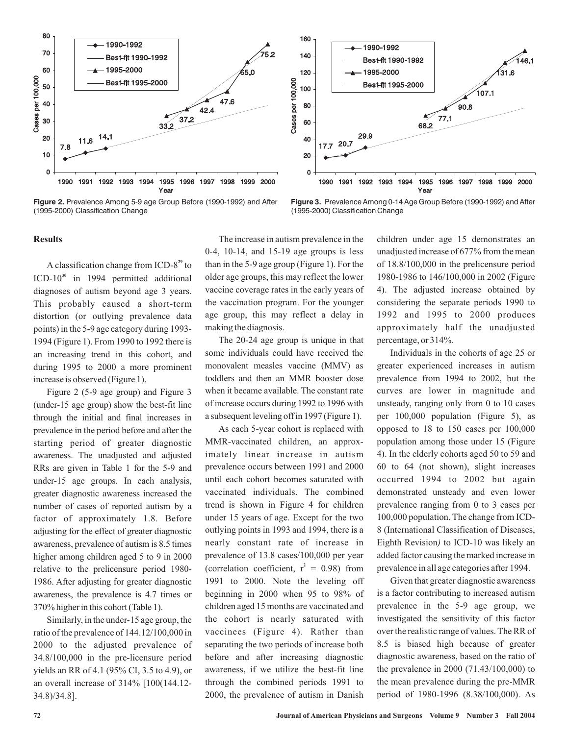

**Figure 2.** Prevalence Among 5-9 age Group Before (1990-1992) and After (1995-2000) Classification Change



**Figure 3.** Prevalence Among 0-14 Age Group Before (1990-1992) and After (1995-2000) Classification Change

#### **Results**

A classification change from ICD-8<sup>29</sup> to ICD-10<sup>30</sup> in 1994 permitted additional diagnoses of autism beyond age 3 years. This probably caused a short-term distortion (or outlying prevalence data points) in the 5-9 age category during 1993- 1994 (Figure 1). From 1990 to 1992 there is an increasing trend in this cohort, and during 1995 to 2000 a more prominent increase is observed (Figure 1).

Figure 2 (5-9 age group) and Figure 3 (under-15 age group) show the best-fit line through the initial and final increases in prevalence in the period before and after the starting period of greater diagnostic awareness. The unadjusted and adjusted RRs are given in Table 1 for the 5-9 and under-15 age groups. In each analysis, greater diagnostic awareness increased the number of cases of reported autism by a factor of approximately 1.8. Before adjusting for the effect of greater diagnostic awareness, prevalence of autism is 8.5 times higher among children aged 5 to 9 in 2000 relative to the prelicensure period 1980- 1986. After adjusting for greater diagnostic awareness, the prevalence is 4.7 times or 370% higher in this cohort (Table 1).

Similarly, in the under-15 age group, the ratio of the prevalence of 144.12/100,000 in 2000 to the adjusted prevalence of 34.8/100,000 in the pre-licensure period yields an RR of 4.1 (95% CI, 3.5 to 4.9), or an overall increase of 314% [100(144.12- 34.8)/34.8].

The increase in autism prevalence in the 0-4, 10-14, and 15-19 age groups is less than in the 5-9 age group (Figure 1). For the older age groups, this may reflect the lower vaccine coverage rates in the early years of the vaccination program. For the younger age group, this may reflect a delay in making the diagnosis.

The 20-24 age group is unique in that some individuals could have received the monovalent measles vaccine (MMV) as toddlers and then an MMR booster dose when it became available. The constant rate of increase occurs during 1992 to 1996 with a subsequent leveling off in 1997 (Figure 1).

As each 5-year cohort is replaced with MMR-vaccinated children, an approximately linear increase in autism prevalence occurs between 1991 and 2000 until each cohort becomes saturated with vaccinated individuals. The combined trend is shown in Figure 4 for children under 15 years of age. Except for the two outlying points in 1993 and 1994, there is a nearly constant rate of increase in prevalence of 13.8 cases/100,000 per year (correlation coefficient,  $r^2 = 0.98$ ) from 1991 to 2000. Note the leveling off beginning in 2000 when 95 to 98% of children aged 15 months are vaccinated and the cohort is nearly saturated with vaccinees (Figure 4). Rather than separating the two periods of increase both before and after increasing diagnostic awareness, if we utilize the best-fit line through the combined periods 1991 to 2000, the prevalence of autism in Danish

children under age 15 demonstrates an unadjusted increase of 677% from the mean of 18.8/100,000 in the prelicensure period 1980-1986 to 146/100,000 in 2002 (Figure 4). The adjusted increase obtained by considering the separate periods 1990 to 1992 and 1995 to 2000 produces approximately half the unadjusted percentage, or 314%.

Individuals in the cohorts of age 25 or greater experienced increases in autism prevalence from 1994 to 2002, but the curves are lower in magnitude and unsteady, ranging only from 0 to 10 cases per 100,000 population (Figure 5), as opposed to 18 to 150 cases per 100,000 population among those under 15 (Figure 4). In the elderly cohorts aged 50 to 59 and 60 to 64 (not shown), slight increases occurred 1994 to 2002 but again demonstrated unsteady and even lower prevalence ranging from 0 to 3 cases per 100,000 population. The change from ICD-8 (International Classification of Diseases, Eighth Revision) to ICD-10 was likely an added factor causing the marked increase in prevalence in all age categories after 1994.

Given that greater diagnostic awareness is a factor contributing to increased autism prevalence in the 5-9 age group, we investigated the sensitivity of this factor over the realistic range of values. The RR of 8.5 is biased high because of greater diagnostic awareness, based on the ratio of the prevalence in 2000 (71.43/100,000) to the mean prevalence during the pre-MMR period of 1980-1996 (8.38/100,000). As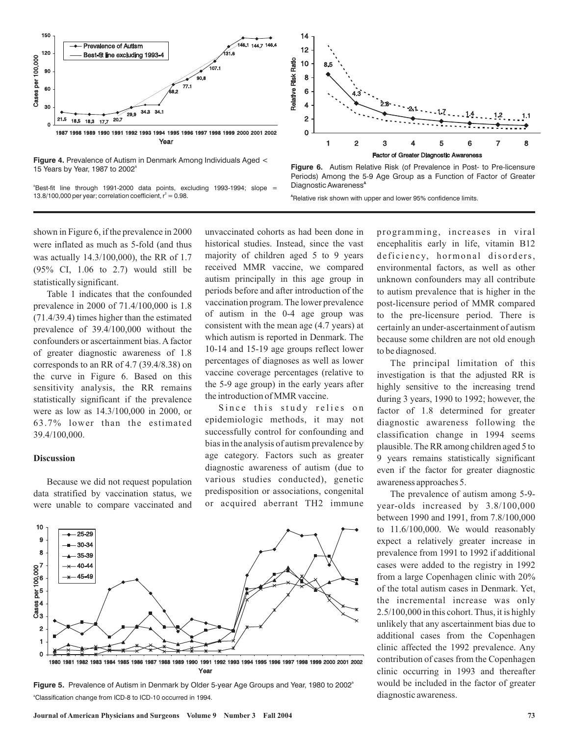

**Figure 4.** Prevalence of Autism in Denmark Among Individuals Aged < 15 Years by Year, 1987 to 2002<sup>a</sup>

<sup>a</sup>Best-fit line through 1991-2000 data points, excluding 1993-1994; slope = 13.8/100,000 per year; correlation coefficient,  $r^2 = 0.98$ .

shown in Figure 6, if the prevalence in 2000 were inflated as much as 5-fold (and thus was actually 14.3/100,000), the RR of 1.7 (95% CI, 1.06 to 2.7) would still be statistically significant.

Table 1 indicates that the confounded prevalence in 2000 of 71.4/100,000 is 1.8 (71.4/39.4) times higher than the estimated prevalence of 39.4/100,000 without the confounders or ascertainment bias. A factor of greater diagnostic awareness of 1.8 corresponds to an RR of 4.7 (39.4/8.38) on the curve in Figure 6. Based on this sensitivity analysis, the RR remains statistically significant if the prevalence were as low as 14.3/100,000 in 2000, or 63.7% lower than the estimated 39.4/100,000.

### **Discussion**

Because we did not request population data stratified by vaccination status, we were unable to compare vaccinated and unvaccinated cohorts as had been done in historical studies. Instead, since the vast majority of children aged 5 to 9 years received MMR vaccine, we compared autism principally in this age group in periods before and after introduction of the vaccination program. The lower prevalence of autism in the 0-4 age group was consistent with the mean age (4.7 years) at which autism is reported in Denmark. The 10-14 and 15-19 age groups reflect lower percentages of diagnoses as well as lower vaccine coverage percentages (relative to the 5-9 age group) in the early years after the introduction of MMR vaccine.

Since this study relies on epidemiologic methods, it may not successfully control for confounding and bias in the analysis of autism prevalence by age category. Factors such as greater diagnostic awareness of autism (due to various studies conducted), genetic predisposition or associations, congenital or acquired aberrant TH2 immune



<sup>a</sup>Classification change from ICD-8 to ICD-10 occurred in 1994. Figure 5. Prevalence of Autism in Denmark by Older 5-year Age Groups and Year, 1980 to 2002<sup>a</sup>

Year



**Figure 6.** Autism Relative Risk (of Prevalence in Post- to Pre-licensure Periods) Among the 5-9 Age Group as a Function of Factor of Greater Diagnostic Awareness**<sup>A</sup>**

**A** Relative risk shown with upper and lower 95% confidence limits.

programming, increases in viral encephalitis early in life, vitamin B12 deficiency, hormonal disorders, environmental factors, as well as other unknown confounders may all contribute to autism prevalence that is higher in the post-licensure period of MMR compared to the pre-licensure period. There is certainly an under-ascertainment of autism because some children are not old enough to be diagnosed.

The principal limitation of this investigation is that the adjusted RR is highly sensitive to the increasing trend during 3 years, 1990 to 1992; however, the factor of 1.8 determined for greater diagnostic awareness following the classification change in 1994 seems plausible. The RR among children aged 5 to 9 years remains statistically significant even if the factor for greater diagnostic awareness approaches 5.

The prevalence of autism among 5-9 year-olds increased by 3.8/100,000 between 1990 and 1991, from 7.8/100,000 to 11.6/100,000. We would reasonably expect a relatively greater increase in prevalence from 1991 to 1992 if additional cases were added to the registry in 1992 from a large Copenhagen clinic with 20% of the total autism cases in Denmark. Yet, the incremental increase was only 2.5/100,000 in this cohort. Thus, it is highly unlikely that any ascertainment bias due to additional cases from the Copenhagen clinic affected the 1992 prevalence. Any contribution of cases from the Copenhagen clinic occurring in 1993 and thereafter would be included in the factor of greater diagnostic awareness.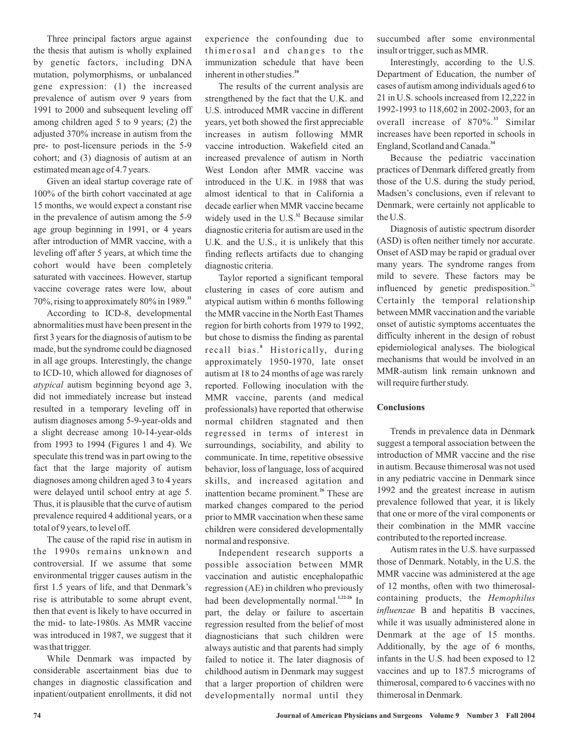Three principal factors argue against the thesis that autism is wholly explained by genetic factors, including DNA mutation, polymorphisms, or unbalanced gene expression: (1) the increased prevalence of autism over 9 years from 1991 to 2000 and subsequent leveling off among children aged 5 to 9 years; (2) the adjusted 370% increase in autism from the pre- to post-licensure periods in the 5-9 cohort; and (3) diagnosis of autism at an estimated mean age of 4.7 years.

Given an ideal startup coverage rate of 100% of the birth cohort vaccinated at age 15 months, we would expect a constant rise in the prevalence of autism among the 5-9 age group beginning in 1991, or 4 years after introduction of MMR vaccine, with a leveling off after 5 years, at which time the cohort would have been completely saturated with vaccinees. However, startup vaccine coverage rates were low, about 70%, rising to approximately 80% in 1989. **31**

According to ICD-8, developmental abnormalities must have been present in the first 3 years for the diagnosis of autism to be made, but the syndrome could be diagnosed in all age groups. Interestingly, the change to ICD-10, which allowed for diagnoses of atypical autism beginning beyond age 3, did not immediately increase but instead resulted in a temporary leveling off in autism diagnoses among 5-9-year-olds and a slight decrease among 10-14-year-olds from 1993 to 1994 (Figures 1 and 4). We speculate this trend was in part owing to the fact that the large majority of autism diagnoses among children aged 3 to 4 years were delayed until school entry at age 5. Thus, it is plausible that the curve of autism prevalence required 4 additional years, or a total of 9 years, to level off.

The cause of the rapid rise in autism in the 1990s remains unknown and controversial. If we assume that some environmental trigger causes autism in the first 1.5 years of life, and that Denmark's rise is attributable to some abrupt event, then that event is likely to have occurred in the mid- to late-1980s. As MMR vaccine was introduced in 1987, we suggest that it was that trigger.

While Denmark was impacted by considerable ascertainment bias due to changes in diagnostic classification and inpatient/outpatient enrollments, it did not experience the confounding due to thimerosal and changes to the immunization schedule that have been inherent in other studies.<sup>10</sup>

The results of the current analysis are strengthened by the fact that the U.K. and U.S. introduced MMR vaccine in different years, yet both showed the first appreciable increases in autism following MMR vaccine introduction. Wakefield cited an increased prevalence of autism in North West London after MMR vaccine was introduced in the U.K. in 1988 that was almost identical to that in California a decade earlier when MMR vaccine became widely used in the U.S.<sup>32</sup> Because similar diagnostic criteria for autism are used in the U.K. and the U.S., it is unlikely that this finding reflects artifacts due to changing diagnostic criteria.

Taylor reported a significant temporal clustering in cases of core autism and atypical autism within 6 months following the MMR vaccine in the North East Thames region for birth cohorts from 1979 to 1992, but chose to dismiss the finding as parental recall bias.<sup>8</sup> Historically, during approximately 1950-1970, late onset autism at 18 to 24 months of age was rarely reported. Following inoculation with the MMR vaccine, parents (and medical professionals) have reported that otherwise normal children stagnated and then regressed in terms of interest in surroundings, sociability, and ability to communicate. In time, repetitive obsessive behavior, loss of language, loss of acquired skills, and increased agitation and inattention became prominent.<sup>26</sup> These are marked changes compared to the period prior to MMR vaccination when these same children were considered developmentally normal and responsive.

Independent research supports a possible association between MMR vaccination and autistic encephalopathic regression (AE) in children who previously had been developmentally normal.<sup>1,22-26</sup> In part, the delay or failure to ascertain regression resulted from the belief of most diagnosticians that such children were always autistic and that parents had simply failed to notice it. The later diagnosis of childhood autism in Denmark may suggest that a larger proportion of children were developmentally normal until they succumbed after some environmental insult or trigger, such as MMR.

Interestingly, according to the U.S. Department of Education, the number of cases of autism among individuals aged 6 to 21 in U.S. schools increased from 12,222 in 1992-1993 to 118,602 in 2002-2003, for an overall increase of 870%.<sup>33</sup> Similar increases have been reported in schools in England, Scotland and Canada. **34**

Because the pediatric vaccination practices of Denmark differed greatly from those of the U.S. during the study period, Madsen's conclusions, even if relevant to Denmark, were certainly not applicable to the U.S.

Diagnosis of autistic spectrum disorder (ASD) is often neither timely nor accurate. Onset of ASD may be rapid or gradual over many years. The syndrome ranges from mild to severe. These factors may be influenced by genetic predisposition.<sup>26</sup> Certainly the temporal relationship between MMR vaccination and the variable onset of autistic symptoms accentuates the difficulty inherent in the design of robust epidemiological analyses. The biological mechanisms that would be involved in an MMR-autism link remain unknown and will require further study.

## **Conclusions**

Trends in prevalence data in Denmark suggest a temporal association between the introduction of MMR vaccine and the rise in autism. Because thimerosal was not used in any pediatric vaccine in Denmark since 1992 and the greatest increase in autism prevalence followed that year, it is likely that one or more of the viral components or their combination in the MMR vaccine contributed to the reported increase.

Autism rates in the U.S. have surpassed those of Denmark. Notably, in the U.S. the MMR vaccine was administered at the age of 12 months, often with two thimerosalcontaining products, the *Hemophilus* B and hepatitis B vaccines, *influenzae* while it was usually administered alone in Denmark at the age of 15 months. Additionally, by the age of 6 months, infants in the U.S. had been exposed to 12 vaccines and up to 187.5 micrograms of thimerosal, compared to 6 vaccines with no thimerosal in Denmark.